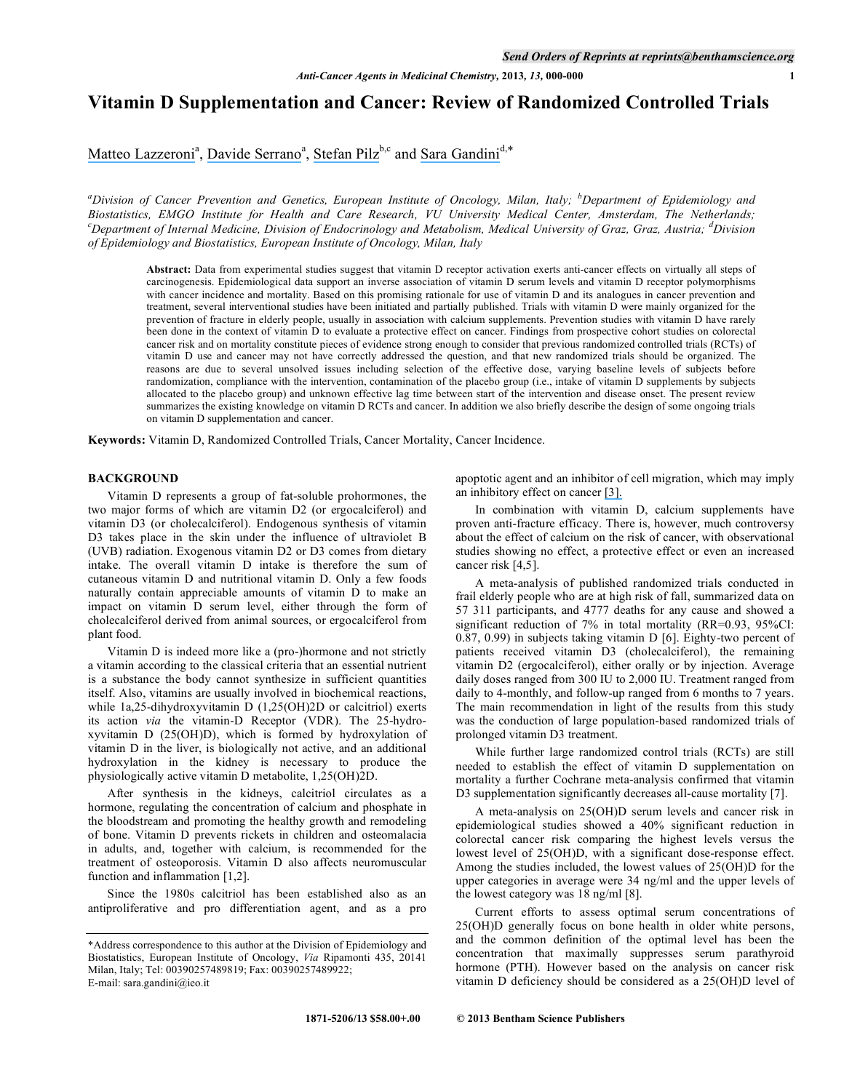# **Vitamin D Supplementation and Cancer: Review of Randomized Controlled Trials**

Matteo [Lazzeroni](https://www.researchgate.net/profile/Matteo_Lazzeroni?el=1_x_100&enrichId=rgreq-ceabeb0a434340b9e7c83c8a5bcf5516-XXX&enrichSource=Y292ZXJQYWdlOzIzMjY5ODM3MztBUzo5OTMwODU0NDIwMDcxNUAxNDAwNjg4NDEwMzQy)<sup>a</sup>, [Davide Serrano](https://www.researchgate.net/profile/Davide_Serrano?el=1_x_100&enrichId=rgreq-ceabeb0a434340b9e7c83c8a5bcf5516-XXX&enrichSource=Y292ZXJQYWdlOzIzMjY5ODM3MztBUzo5OTMwODU0NDIwMDcxNUAxNDAwNjg4NDEwMzQy)<sup>a</sup>, [Stefan](https://www.researchgate.net/profile/Stefan_Pilz?el=1_x_100&enrichId=rgreq-ceabeb0a434340b9e7c83c8a5bcf5516-XXX&enrichSource=Y292ZXJQYWdlOzIzMjY5ODM3MztBUzo5OTMwODU0NDIwMDcxNUAxNDAwNjg4NDEwMzQy) Pilz<sup>b,c</sup> and Sara [Gandini](https://www.researchgate.net/profile/Sara_Gandini?el=1_x_100&enrichId=rgreq-ceabeb0a434340b9e7c83c8a5bcf5516-XXX&enrichSource=Y292ZXJQYWdlOzIzMjY5ODM3MztBUzo5OTMwODU0NDIwMDcxNUAxNDAwNjg4NDEwMzQy)<sup>d,\*</sup>

<sup>a</sup>Division of Cancer Prevention and Genetics, European Institute of Oncology, Milan, Italy; <sup>b</sup>Department of Epidemiology and Biostatistics, EMGO Institute for Health and Care Research, VU University Medical Center, Amsterdam, The Netherlands; Department of Internal Medicine, Division of Endocrinology and Metabolism, Medical University of Graz, Graz, Austria; <sup>d</sup>Division *of Epidemiology and Biostatistics, European Institute of Oncology, Milan, Italy*

**Abstract:** Data from experimental studies suggest that vitamin D receptor activation exerts anti-cancer effects on virtually all steps of carcinogenesis. Epidemiological data support an inverse association of vitamin D serum levels and vitamin D receptor polymorphisms with cancer incidence and mortality. Based on this promising rationale for use of vitamin D and its analogues in cancer prevention and treatment, several interventional studies have been initiated and partially published. Trials with vitamin D were mainly organized for the prevention of fracture in elderly people, usually in association with calcium supplements. Prevention studies with vitamin D have rarely been done in the context of vitamin D to evaluate a protective effect on cancer. Findings from prospective cohort studies on colorectal cancer risk and on mortality constitute pieces of evidence strong enough to consider that previous randomized controlled trials (RCTs) of vitamin D use and cancer may not have correctly addressed the question, and that new randomized trials should be organized. The reasons are due to several unsolved issues including selection of the effective dose, varying baseline levels of subjects before randomization, compliance with the intervention, contamination of the placebo group (i.e., intake of vitamin D supplements by subjects allocated to the placebo group) and unknown effective lag time between start of the intervention and disease onset. The present review summarizes the existing knowledge on vitamin D RCTs and cancer. In addition we also briefly describe the design of some ongoing trials on vitamin D supplementation and cancer.

**Keywords:** Vitamin D, Randomized Controlled Trials, Cancer Mortality, Cancer Incidence.

## **BACKGROUND**

Vitamin D represents a group of fat-soluble prohormones, the two major forms of which are vitamin D2 (or ergocalciferol) and vitamin D3 (or cholecalciferol). Endogenous synthesis of vitamin D3 takes place in the skin under the influence of ultraviolet B (UVB) radiation. Exogenous vitamin D2 or D3 comes from dietary intake. The overall vitamin D intake is therefore the sum of cutaneous vitamin D and nutritional vitamin D. Only a few foods naturally contain appreciable amounts of vitamin D to make an impact on vitamin D serum level, either through the form of cholecalciferol derived from animal sources, or ergocalciferol from plant food.

Vitamin D is indeed more like a (pro-)hormone and not strictly a vitamin according to the classical criteria that an essential nutrient is a substance the body cannot synthesize in sufficient quantities itself. Also, vitamins are usually involved in biochemical reactions, while 1a,25-dihydroxyvitamin D (1,25(OH)2D or calcitriol) exerts its action *via* the vitamin-D Receptor (VDR). The 25-hydroxyvitamin D (25(OH)D), which is formed by hydroxylation of vitamin D in the liver, is biologically not active, and an additional hydroxylation in the kidney is necessary to produce the physiologically active vitamin D metabolite, 1,25(OH)2D.

After synthesis in the kidneys, calcitriol circulates as a hormone, regulating the concentration of calcium and phosphate in the bloodstream and promoting the healthy growth and remodeling of bone. Vitamin D prevents rickets in children and osteomalacia in adults, and, together with calcium, is recommended for the treatment of osteoporosis. Vitamin D also affects neuromuscular function and inflammation [1,2].

Since the 1980s calcitriol has been established also as an antiproliferative and pro differentiation agent, and as a pro

apoptotic agent and an inhibitor of cell migration, which may imply an inhibitory effect on cancer [\[3\].](https://www.researchgate.net/publication/6119728_Deeb_KK_Trump_DL_Johnson_CSVitamin_D_signalling_pathways_in_cancer_Potential_for_anticancer_therapeutics_Nat_Rev_Cancer_7_684-700_doi_101038nrc2196?el=1_x_8&enrichId=rgreq-ceabeb0a434340b9e7c83c8a5bcf5516-XXX&enrichSource=Y292ZXJQYWdlOzIzMjY5ODM3MztBUzo5OTMwODU0NDIwMDcxNUAxNDAwNjg4NDEwMzQy)

In combination with vitamin D, calcium supplements have proven anti-fracture efficacy. There is, however, much controversy about the effect of calcium on the risk of cancer, with observational studies showing no effect, a protective effect or even an increased cancer risk [4,5].

A meta-analysis of published randomized trials conducted in frail elderly people who are at high risk of fall, summarized data on 57 311 participants, and 4777 deaths for any cause and showed a significant reduction of 7% in total mortality (RR=0.93, 95%CI: 0.87, 0.99) in subjects taking vitamin D [6]. Eighty-two percent of patients received vitamin D3 (cholecalciferol), the remaining vitamin D2 (ergocalciferol), either orally or by injection. Average daily doses ranged from 300 IU to 2,000 IU. Treatment ranged from daily to 4-monthly, and follow-up ranged from 6 months to 7 years. The main recommendation in light of the results from this study was the conduction of large population-based randomized trials of prolonged vitamin D3 treatment.

While further large randomized control trials (RCTs) are still needed to establish the effect of vitamin D supplementation on mortality a further Cochrane meta-analysis confirmed that vitamin D3 supplementation significantly decreases all-cause mortality [7].

A meta-analysis on 25(OH)D serum levels and cancer risk in epidemiological studies showed a 40% significant reduction in colorectal cancer risk comparing the highest levels versus the lowest level of 25(OH)D, with a significant dose-response effect. Among the studies included, the lowest values of 25(OH)D for the upper categories in average were 34 ng/ml and the upper levels of the lowest category was 18 ng/ml [8].

Current efforts to assess optimal serum concentrations of 25(OH)D generally focus on bone health in older white persons, and the common definition of the optimal level has been the concentration that maximally suppresses serum parathyroid hormone (PTH). However based on the analysis on cancer risk vitamin D deficiency should be considered as a 25(OH)D level of

<sup>\*</sup>Address correspondence to this author at the Division of Epidemiology and Biostatistics, European Institute of Oncology, *Via* Ripamonti 435, 20141 Milan, Italy; Tel: 00390257489819; Fax: 00390257489922; E-mail: sara.gandini@ieo.it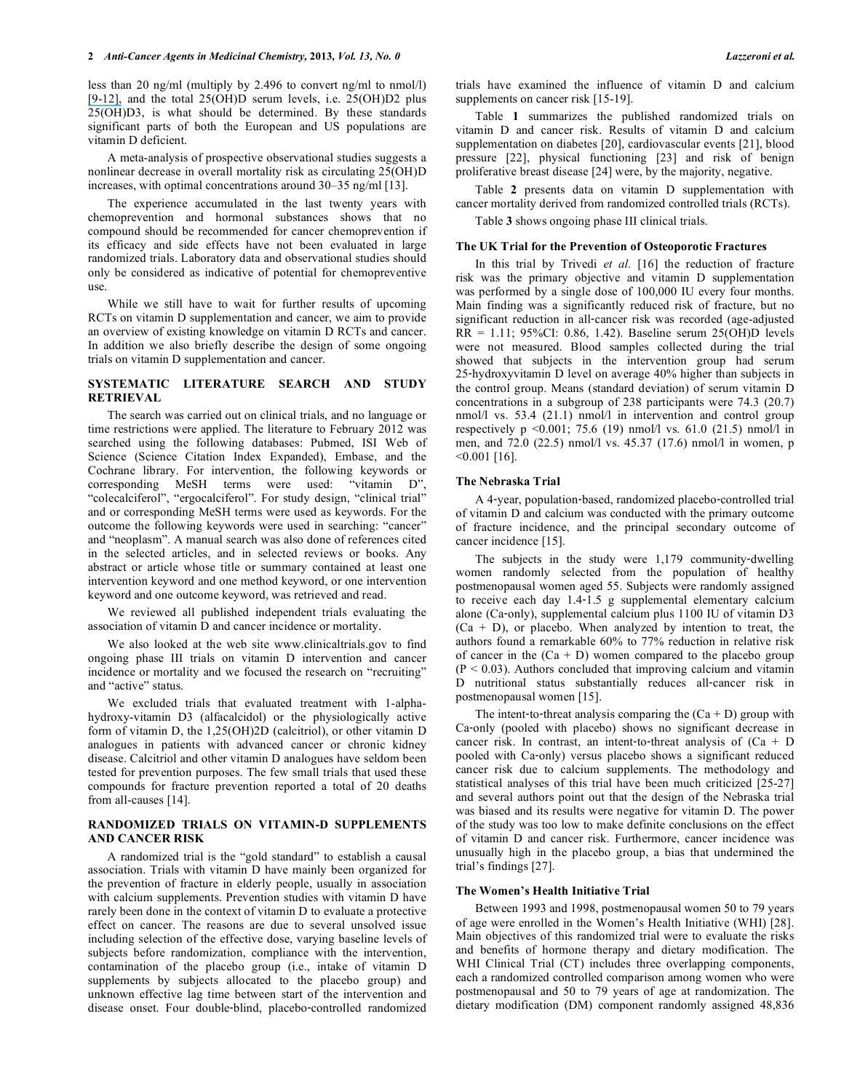less than 20 ng/ml (multiply by 2.496 to convert ng/ml to nmol/l) [\[9-12\],](https://www.researchgate.net/publication/5451486_Holick_MF_Chen_TCVitamin_D_deficiency_a_worldwide_problem_with_health_consequences_Am_J_Clin_Nutr_874_1080S-1086S?el=1_x_8&enrichId=rgreq-ceabeb0a434340b9e7c83c8a5bcf5516-XXX&enrichSource=Y292ZXJQYWdlOzIzMjY5ODM3MztBUzo5OTMwODU0NDIwMDcxNUAxNDAwNjg4NDEwMzQy) and the total 25(OH)D serum levels, i.e. 25(OH)D2 plus  $25(OH)D3$ , is what should be determined. By these standards significant parts of both the European and US populations are vitamin D deficient.

A meta-analysis of prospective observational studies suggests a nonlinear decrease in overall mortality risk as circulating 25(OH)D increases, with optimal concentrations around 30–35 ng/ml [13].

The experience accumulated in the last twenty years with chemoprevention and hormonal substances shows that no compound should be recommended for cancer chemoprevention if its efficacy and side effects have not been evaluated in large randomized trials. Laboratory data and observational studies should only be considered as indicative of potential for chemopreventive use.

While we still have to wait for further results of upcoming RCTs on vitamin D supplementation and cancer, we aim to provide an overview of existing knowledge on vitamin D RCTs and cancer. In addition we also briefly describe the design of some ongoing trials on vitamin D supplementation and cancer.

## **SYSTEMATIC LITERATURE SEARCH AND STUDY RETRIEVAL**

The search was carried out on clinical trials, and no language or time restrictions were applied. The literature to February 2012 was searched using the following databases: Pubmed, ISI Web of Science (Science Citation Index Expanded), Embase, and the Cochrane library. For intervention, the following keywords or corresponding MeSH terms were used: "vitamin D", "colecalciferol", "ergocalciferol". For study design, "clinical trial" and or corresponding MeSH terms were used as keywords. For the outcome the following keywords were used in searching: "cancer" and "neoplasm". A manual search was also done of references cited in the selected articles, and in selected reviews or books. Any abstract or article whose title or summary contained at least one intervention keyword and one method keyword, or one intervention keyword and one outcome keyword, was retrieved and read.

We reviewed all published independent trials evaluating the association of vitamin D and cancer incidence or mortality.

We also looked at the web site www.clinicaltrials.gov to find ongoing phase III trials on vitamin D intervention and cancer incidence or mortality and we focused the research on "recruiting" and "active" status.

We excluded trials that evaluated treatment with 1-alphahydroxy-vitamin D3 (alfacalcidol) or the physiologically active form of vitamin D, the 1,25(OH)2D (calcitriol), or other vitamin D analogues in patients with advanced cancer or chronic kidney disease. Calcitriol and other vitamin D analogues have seldom been tested for prevention purposes. The few small trials that used these compounds for fracture prevention reported a total of 20 deaths from all-causes [14].

## **RANDOMIZED TRIALS ON VITAMIN-D SUPPLEMENTS AND CANCER RISK**

A randomized trial is the "gold standard" to establish a causal association. Trials with vitamin D have mainly been organized for the prevention of fracture in elderly people, usually in association with calcium supplements. Prevention studies with vitamin D have rarely been done in the context of vitamin D to evaluate a protective effect on cancer. The reasons are due to several unsolved issue including selection of the effective dose, varying baseline levels of subjects before randomization, compliance with the intervention, contamination of the placebo group (i.e., intake of vitamin D supplements by subjects allocated to the placebo group) and unknown effective lag time between start of the intervention and disease onset. Four double‐blind, placebo‐controlled randomized trials have examined the influence of vitamin D and calcium supplements on cancer risk [15-19].

Table **1** summarizes the published randomized trials on vitamin D and cancer risk. Results of vitamin D and calcium supplementation on diabetes [20], cardiovascular events [21], blood pressure [22], physical functioning [23] and risk of benign proliferative breast disease [24] were, by the majority, negative.

Table **2** presents data on vitamin D supplementation with cancer mortality derived from randomized controlled trials (RCTs).

Table **3** shows ongoing phase III clinical trials.

#### **The UK Trial for the Prevention of Osteoporotic Fractures**

In this trial by Trivedi *et al.* [16] the reduction of fracture risk was the primary objective and vitamin D supplementation was performed by a single dose of 100,000 IU every four months. Main finding was a significantly reduced risk of fracture, but no significant reduction in all‐cancer risk was recorded (age-adjusted RR = 1.11; 95%CI: 0.86, 1.42). Baseline serum 25(OH)D levels were not measured. Blood samples collected during the trial showed that subjects in the intervention group had serum 25‐hydroxyvitamin D level on average 40% higher than subjects in the control group. Means (standard deviation) of serum vitamin D concentrations in a subgroup of 238 participants were 74.3 (20.7) nmol/l vs. 53.4 (21.1) nmol/l in intervention and control group respectively p <0.001; 75.6 (19) nmol/l vs. 61.0 (21.5) nmol/l in men, and 72.0 (22.5) nmol/l vs. 45.37 (17.6) nmol/l in women, p  $< 0.001$  [16].

#### **The Nebraska Trial**

A 4‐year, population‐based, randomized placebo‐controlled trial of vitamin D and calcium was conducted with the primary outcome of fracture incidence, and the principal secondary outcome of cancer incidence [15].

The subjects in the study were 1,179 community-dwelling women randomly selected from the population of healthy postmenopausal women aged 55. Subjects were randomly assigned to receive each day 1.4‐1.5 g supplemental elementary calcium alone (Ca-only), supplemental calcium plus 1100 IU of vitamin D3  $(Ca + D)$ , or placebo. When analyzed by intention to treat, the authors found a remarkable 60% to 77% reduction in relative risk of cancer in the  $(Ca + D)$  women compared to the placebo group  $(P < 0.03)$ . Authors concluded that improving calcium and vitamin D nutritional status substantially reduces all-cancer risk in postmenopausal women [15].

The intent-to-threat analysis comparing the  $(Ca + D)$  group with Ca‐only (pooled with placebo) shows no significant decrease in cancer risk. In contrast, an intent-to-threat analysis of  $(Ca + D)$ pooled with Ca-only) versus placebo shows a significant reduced cancer risk due to calcium supplements. The methodology and statistical analyses of this trial have been much criticized [25-27] and several authors point out that the design of the Nebraska trial was biased and its results were negative for vitamin D. The power of the study was too low to make definite conclusions on the effect of vitamin D and cancer risk. Furthermore, cancer incidence was unusually high in the placebo group, a bias that undermined the trial's findings [27].

### **The Women's Health Initiative Trial**

Between 1993 and 1998, postmenopausal women 50 to 79 years of age were enrolled in the Women's Health Initiative (WHI) [28]. Main objectives of this randomized trial were to evaluate the risks and benefits of hormone therapy and dietary modification. The WHI Clinical Trial (CT) includes three overlapping components, each a randomized controlled comparison among women who were postmenopausal and 50 to 79 years of age at randomization. The dietary modification (DM) component randomly assigned 48,836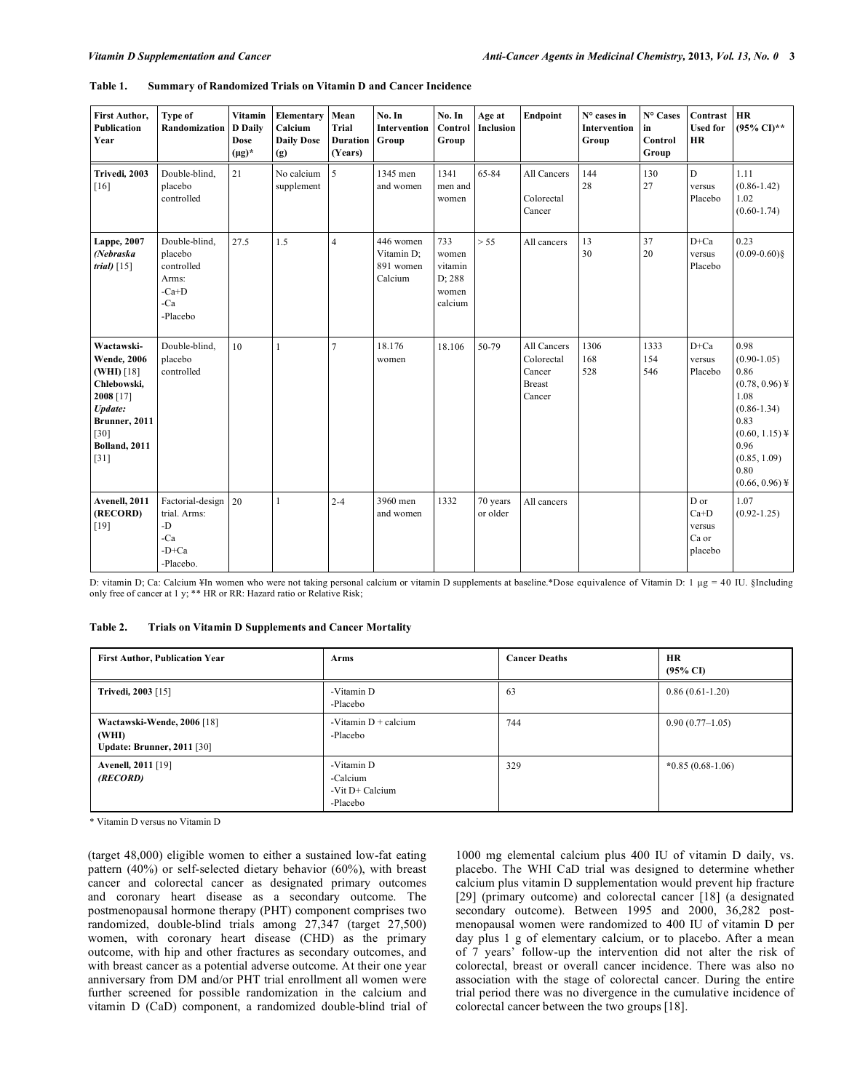| First Author,<br><b>Publication</b><br>Year                                                                                                                 | <b>Type of</b><br><b>Randomization</b> D Daily                                | <b>Vitamin</b><br><b>Dose</b><br>$(\mu g)^*$ | Elementary<br>Calcium<br><b>Daily Dose</b><br>(g) | Mean<br>Trial<br><b>Duration</b><br>(Years) | No. In<br><b>Intervention</b><br>Group          | No. In<br>Control<br>Group                            | Age at<br>Inclusion  | Endpoint                                                       | $No$ cases in<br><b>Intervention</b><br>Group | N° Cases<br>in<br>Control<br>Group | Contrast<br><b>Used for</b><br><b>HR</b>     | <b>HR</b><br>(95% CI)**                                                                                                                                        |
|-------------------------------------------------------------------------------------------------------------------------------------------------------------|-------------------------------------------------------------------------------|----------------------------------------------|---------------------------------------------------|---------------------------------------------|-------------------------------------------------|-------------------------------------------------------|----------------------|----------------------------------------------------------------|-----------------------------------------------|------------------------------------|----------------------------------------------|----------------------------------------------------------------------------------------------------------------------------------------------------------------|
| Trivedi, 2003<br>$[16]$                                                                                                                                     | Double-blind,<br>placebo<br>controlled                                        | 21                                           | No calcium<br>supplement                          | 5                                           | 1345 men<br>and women                           | 1341<br>men and<br>women                              | 65-84                | All Cancers<br>Colorectal<br>Cancer                            | 144<br>28                                     | 130<br>27                          | $\mathbf{D}$<br>versus<br>Placebo            | 1.11<br>$(0.86 - 1.42)$<br>1.02<br>$(0.60 - 1.74)$                                                                                                             |
| <b>Lappe, 2007</b><br>(Nebraska<br>trial) $[15]$                                                                                                            | Double-blind.<br>placebo<br>controlled<br>Arms:<br>$-Ca+D$<br>-Ca<br>-Placebo | 27.5                                         | 1.5                                               | $\overline{4}$                              | 446 women<br>Vitamin D;<br>891 women<br>Calcium | 733<br>women<br>vitamin<br>D; 288<br>women<br>calcium | > 55                 | All cancers                                                    | 13<br>30                                      | 37<br>20                           | $D+Ca$<br>versus<br>Placebo                  | 0.23<br>$(0.09 - 0.60)$ §                                                                                                                                      |
| Wactawski-<br><b>Wende</b> , 2006<br>(WHI) [18]<br>Chlebowski,<br>2008 [17]<br><b>Update:</b><br>Brunner, 2011<br>$[30]$<br><b>Bolland</b> , 2011<br>$[31]$ | Double-blind,<br>placebo<br>controlled                                        | 10                                           | 1                                                 | 7                                           | 18.176<br>women                                 | 18.106                                                | 50-79                | All Cancers<br>Colorectal<br>Cancer<br><b>Breast</b><br>Cancer | 1306<br>168<br>528                            | 1333<br>154<br>546                 | $D+Ca$<br>versus<br>Placebo                  | 0.98<br>$(0.90 - 1.05)$<br>0.86<br>$(0.78, 0.96)$ ¥<br>1.08<br>$(0.86 - 1.34)$<br>0.83<br>$(0.60, 1.15)$ ¥<br>0.96<br>(0.85, 1.09)<br>0.80<br>$(0.66, 0.96)$ ¥ |
| Avenell, 2011<br>(RECORD)<br>$[19]$                                                                                                                         | Factorial-design<br>trial. Arms:<br>-D<br>-Ca<br>$-D+Ca$<br>-Placebo.         | 20                                           | 1                                                 | $2 - 4$                                     | 3960 men<br>and women                           | 1332                                                  | 70 years<br>or older | All cancers                                                    |                                               |                                    | D or<br>$Ca+D$<br>versus<br>Ca or<br>placebo | 1.07<br>$(0.92 - 1.25)$                                                                                                                                        |

| Table 1. |  | <b>Summary of Randomized Trials on Vitamin D and Cancer Incidence</b> |  |  |
|----------|--|-----------------------------------------------------------------------|--|--|
|----------|--|-----------------------------------------------------------------------|--|--|

D: vitamin D; Ca: Calcium ¥In women who were not taking personal calcium or vitamin D supplements at baseline.\*Dose equivalence of Vitamin D: 1 µg = 40 IU. §Including only free of cancer at 1 y; \*\* HR or RR: Hazard ratio or Relative Risk;

#### **Table 2. Trials on Vitamin D Supplements and Cancer Mortality**

| <b>First Author, Publication Year</b>                                    | Arms                                                  | <b>Cancer Deaths</b> | HR<br>$(95\% \text{ C}I)$ |
|--------------------------------------------------------------------------|-------------------------------------------------------|----------------------|---------------------------|
| Trivedi, 2003 [15]                                                       | -Vitamin D<br>-Placebo                                | 63                   | $0.86(0.61-1.20)$         |
| Wactawski-Wende, 2006 [18]<br>(WHI)<br><b>Update: Brunner, 2011 [30]</b> | -Vitamin $D$ + calcium<br>-Placebo                    | 744                  | $0.90(0.77-1.05)$         |
| Avenell, 2011 [19]<br>(RECORD)                                           | -Vitamin D<br>-Calcium<br>-Vit D+ Calcium<br>-Placebo | 329                  | $*0.85(0.68-1.06)$        |

\* Vitamin D versus no Vitamin D

(target 48,000) eligible women to either a sustained low-fat eating pattern (40%) or self-selected dietary behavior (60%), with breast cancer and colorectal cancer as designated primary outcomes and coronary heart disease as a secondary outcome. The postmenopausal hormone therapy (PHT) component comprises two randomized, double-blind trials among 27,347 (target 27,500) women, with coronary heart disease (CHD) as the primary outcome, with hip and other fractures as secondary outcomes, and with breast cancer as a potential adverse outcome. At their one year anniversary from DM and/or PHT trial enrollment all women were further screened for possible randomization in the calcium and vitamin D (CaD) component, a randomized double-blind trial of 1000 mg elemental calcium plus 400 IU of vitamin D daily, vs. placebo. The WHI CaD trial was designed to determine whether calcium plus vitamin D supplementation would prevent hip fracture [29] (primary outcome) and colorectal cancer [18] (a designated secondary outcome). Between 1995 and 2000, 36,282 postmenopausal women were randomized to 400 IU of vitamin D per day plus 1 g of elementary calcium, or to placebo. After a mean of 7 years' follow-up the intervention did not alter the risk of colorectal, breast or overall cancer incidence. There was also no association with the stage of colorectal cancer. During the entire trial period there was no divergence in the cumulative incidence of colorectal cancer between the two groups [18].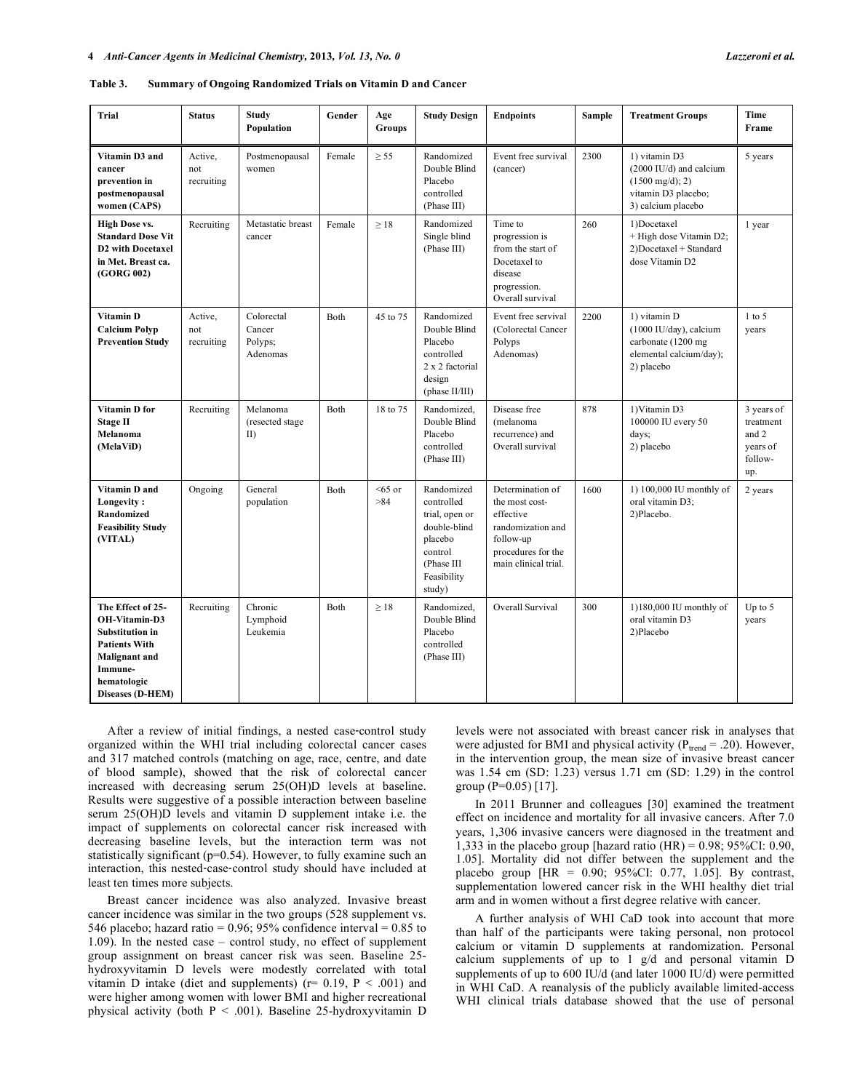| <b>Trial</b>                                                                                                                                               | <b>Status</b>                | Study<br>Population                         | Gender | Age<br><b>Groups</b> | <b>Study Design</b>                                                                                                     | <b>Endpoints</b>                                                                                                                | <b>Sample</b> | <b>Treatment Groups</b>                                                                                                       | <b>Time</b><br>Frame                                           |
|------------------------------------------------------------------------------------------------------------------------------------------------------------|------------------------------|---------------------------------------------|--------|----------------------|-------------------------------------------------------------------------------------------------------------------------|---------------------------------------------------------------------------------------------------------------------------------|---------------|-------------------------------------------------------------------------------------------------------------------------------|----------------------------------------------------------------|
| Vitamin D3 and<br>cancer<br>prevention in<br>postmenopausal<br>women (CAPS)                                                                                | Active,<br>not<br>recruiting | Postmenopausal<br>women                     | Female | $\geq$ 55            | Randomized<br>Double Blind<br>Placebo<br>controlled<br>(Phase III)                                                      | Event free survival<br>(cancer)                                                                                                 | 2300          | 1) vitamin D3<br>$(2000 \text{ IU/d})$ and calcium<br>$(1500 \text{ mg/d})$ ; 2)<br>vitamin D3 placebo;<br>3) calcium placebo | 5 years                                                        |
| <b>High Dose vs.</b><br><b>Standard Dose Vit</b><br><b>D2</b> with Docetaxel<br>in Met. Breast ca.<br>(GORG 002)                                           | Recruiting                   | Metastatic breast<br>cancer                 | Female | $\geq 18$            | Randomized<br>Single blind<br>(Phase III)                                                                               | Time to<br>progression is<br>from the start of<br>Docetaxel to<br>disease<br>progression.<br>Overall survival                   | 260           | 1)Docetaxel<br>+ High dose Vitamin D2;<br>2)Docetaxel + Standard<br>dose Vitamin D2                                           | 1 year                                                         |
| Vitamin D<br><b>Calcium Polyp</b><br><b>Prevention Study</b>                                                                                               | Active,<br>not<br>recruiting | Colorectal<br>Cancer<br>Polyps;<br>Adenomas | Both   | 45 to 75             | Randomized<br>Double Blind<br>Placebo<br>controlled<br>2 x 2 factorial<br>design<br>(phase II/III)                      | Event free servival<br>(Colorectal Cancer<br>Polyps<br>Adenomas)                                                                | 2200          | 1) vitamin D<br>(1000 IU/day), calcium<br>carbonate (1200 mg<br>elemental calcium/day);<br>2) placebo                         | $1$ to $5$<br>years                                            |
| Vitamin D for<br><b>Stage II</b><br>Melanoma<br>(MelaViD)                                                                                                  | Recruiting                   | Melanoma<br>(resected stage)<br>ID          | Both   | 18 to 75             | Randomized,<br>Double Blind<br>Placebo<br>controlled<br>(Phase III)                                                     | Disease free<br>(melanoma<br>recurrence) and<br>Overall survival                                                                | 878           | 1) Vitamin D3<br>100000 IU every 50<br>days:<br>2) placebo                                                                    | 3 years of<br>treatment<br>and 2<br>years of<br>follow-<br>up. |
| Vitamin D and<br>Longevity:<br><b>Randomized</b><br><b>Feasibility Study</b><br>(VITAL)                                                                    | Ongoing                      | General<br>population                       | Both   | $<$ 65 or<br>>84     | Randomized<br>controlled<br>trial, open or<br>double-blind<br>placebo<br>control<br>(Phase III<br>Feasibility<br>study) | Determination of<br>the most cost-<br>effective<br>randomization and<br>follow-up<br>procedures for the<br>main clinical trial. | 1600          | 1) 100,000 IU monthly of<br>oral vitamin D3;<br>2)Placebo.                                                                    | 2 years                                                        |
| The Effect of 25-<br>OH-Vitamin-D3<br><b>Substitution in</b><br><b>Patients With</b><br><b>Malignant</b> and<br>Immune-<br>hematologic<br>Diseases (D-HEM) | Recruiting                   | Chronic<br>Lymphoid<br>Leukemia             | Both   | $\geq 18$            | Randomized,<br>Double Blind<br>Placebo<br>controlled<br>(Phase III)                                                     | Overall Survival                                                                                                                | 300           | 1)180,000 IU monthly of<br>oral vitamin D3<br>2)Placebo                                                                       | Up to $5$<br>years                                             |

**Table 3. Summary of Ongoing Randomized Trials on Vitamin D and Cancer**

After a review of initial findings, a nested case-control study organized within the WHI trial including colorectal cancer cases and 317 matched controls (matching on age, race, centre, and date of blood sample), showed that the risk of colorectal cancer increased with decreasing serum 25(OH)D levels at baseline. Results were suggestive of a possible interaction between baseline serum 25(OH)D levels and vitamin D supplement intake i.e. the impact of supplements on colorectal cancer risk increased with decreasing baseline levels, but the interaction term was not statistically significant (p=0.54). However, to fully examine such an interaction, this nested‐case‐control study should have included at least ten times more subjects.

Breast cancer incidence was also analyzed. Invasive breast cancer incidence was similar in the two groups (528 supplement vs. 546 placebo; hazard ratio =  $0.96$ ; 95% confidence interval =  $0.85$  to 1.09). In the nested case – control study, no effect of supplement group assignment on breast cancer risk was seen. Baseline 25 hydroxyvitamin D levels were modestly correlated with total vitamin D intake (diet and supplements) ( $r= 0.19$ ,  $P < .001$ ) and were higher among women with lower BMI and higher recreational physical activity (both P < .001). Baseline 25-hydroxyvitamin D levels were not associated with breast cancer risk in analyses that were adjusted for BMI and physical activity ( $P_{trend} = .20$ ). However, in the intervention group, the mean size of invasive breast cancer was 1.54 cm (SD: 1.23) versus 1.71 cm (SD: 1.29) in the control group (P=0.05) [17].

In 2011 Brunner and colleagues [30] examined the treatment effect on incidence and mortality for all invasive cancers. After 7.0 years, 1,306 invasive cancers were diagnosed in the treatment and 1,333 in the placebo group [hazard ratio (HR) =  $0.98$ ; 95%CI: 0.90, 1.05]. Mortality did not differ between the supplement and the placebo group [HR = 0.90; 95%CI: 0.77, 1.05]. By contrast, supplementation lowered cancer risk in the WHI healthy diet trial arm and in women without a first degree relative with cancer.

A further analysis of WHI CaD took into account that more than half of the participants were taking personal, non protocol calcium or vitamin D supplements at randomization. Personal calcium supplements of up to 1 g/d and personal vitamin D supplements of up to 600 IU/d (and later 1000 IU/d) were permitted in WHI CaD. A reanalysis of the publicly available limited-access WHI clinical trials database showed that the use of personal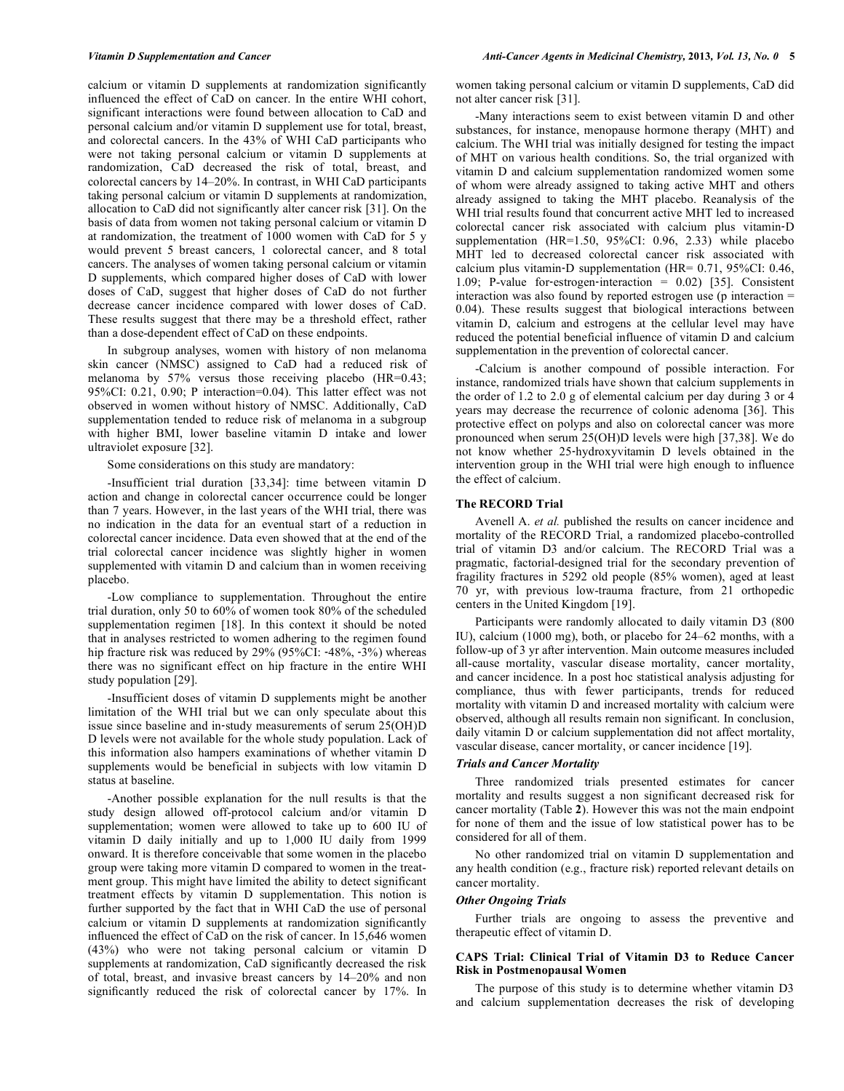calcium or vitamin D supplements at randomization significantly influenced the effect of CaD on cancer. In the entire WHI cohort, significant interactions were found between allocation to CaD and personal calcium and/or vitamin D supplement use for total, breast, and colorectal cancers. In the 43% of WHI CaD participants who were not taking personal calcium or vitamin D supplements at randomization, CaD decreased the risk of total, breast, and colorectal cancers by 14–20%. In contrast, in WHI CaD participants taking personal calcium or vitamin D supplements at randomization, allocation to CaD did not significantly alter cancer risk [31]. On the basis of data from women not taking personal calcium or vitamin D at randomization, the treatment of 1000 women with CaD for 5 y would prevent 5 breast cancers, 1 colorectal cancer, and 8 total cancers. The analyses of women taking personal calcium or vitamin D supplements, which compared higher doses of CaD with lower doses of CaD, suggest that higher doses of CaD do not further decrease cancer incidence compared with lower doses of CaD. These results suggest that there may be a threshold effect, rather than a dose-dependent effect of CaD on these endpoints.

In subgroup analyses, women with history of non melanoma skin cancer (NMSC) assigned to CaD had a reduced risk of melanoma by 57% versus those receiving placebo (HR=0.43; 95%CI: 0.21, 0.90; P interaction=0.04). This latter effect was not observed in women without history of NMSC. Additionally, CaD supplementation tended to reduce risk of melanoma in a subgroup with higher BMI, lower baseline vitamin D intake and lower ultraviolet exposure [32].

Some considerations on this study are mandatory:

-Insufficient trial duration [33,34]: time between vitamin D action and change in colorectal cancer occurrence could be longer than 7 years. However, in the last years of the WHI trial, there was no indication in the data for an eventual start of a reduction in colorectal cancer incidence. Data even showed that at the end of the trial colorectal cancer incidence was slightly higher in women supplemented with vitamin D and calcium than in women receiving placebo.

-Low compliance to supplementation. Throughout the entire trial duration, only 50 to 60% of women took 80% of the scheduled supplementation regimen [18]. In this context it should be noted that in analyses restricted to women adhering to the regimen found hip fracture risk was reduced by 29% (95%CI: -48%, -3%) whereas there was no significant effect on hip fracture in the entire WHI study population [29].

-Insufficient doses of vitamin D supplements might be another limitation of the WHI trial but we can only speculate about this issue since baseline and in‐study measurements of serum 25(OH)D D levels were not available for the whole study population. Lack of this information also hampers examinations of whether vitamin D supplements would be beneficial in subjects with low vitamin D status at baseline.

-Another possible explanation for the null results is that the study design allowed off-protocol calcium and/or vitamin D supplementation; women were allowed to take up to 600 IU of vitamin D daily initially and up to 1,000 IU daily from 1999 onward. It is therefore conceivable that some women in the placebo group were taking more vitamin D compared to women in the treatment group. This might have limited the ability to detect significant treatment effects by vitamin D supplementation. This notion is further supported by the fact that in WHI CaD the use of personal calcium or vitamin D supplements at randomization significantly influenced the effect of CaD on the risk of cancer. In 15,646 women (43%) who were not taking personal calcium or vitamin D supplements at randomization, CaD significantly decreased the risk of total, breast, and invasive breast cancers by 14–20% and non significantly reduced the risk of colorectal cancer by 17%. In

women taking personal calcium or vitamin D supplements, CaD did not alter cancer risk [31].

-Many interactions seem to exist between vitamin D and other substances, for instance, menopause hormone therapy (MHT) and calcium. The WHI trial was initially designed for testing the impact of MHT on various health conditions. So, the trial organized with vitamin D and calcium supplementation randomized women some of whom were already assigned to taking active MHT and others already assigned to taking the MHT placebo. Reanalysis of the WHI trial results found that concurrent active MHT led to increased colorectal cancer risk associated with calcium plus vitamin‐D supplementation (HR=1.50, 95%CI: 0.96, 2.33) while placebo MHT led to decreased colorectal cancer risk associated with calcium plus vitamin‐D supplementation (HR= 0.71, 95%CI: 0.46, 1.09; P-value for-estrogen-interaction =  $0.02$ ) [35]. Consistent interaction was also found by reported estrogen use (p interaction = 0.04). These results suggest that biological interactions between vitamin D, calcium and estrogens at the cellular level may have reduced the potential beneficial influence of vitamin D and calcium supplementation in the prevention of colorectal cancer.

-Calcium is another compound of possible interaction. For instance, randomized trials have shown that calcium supplements in the order of 1.2 to 2.0 g of elemental calcium per day during 3 or 4 years may decrease the recurrence of colonic adenoma [36]. This protective effect on polyps and also on colorectal cancer was more pronounced when serum 25(OH)D levels were high [37,38]. We do not know whether 25‐hydroxyvitamin D levels obtained in the intervention group in the WHI trial were high enough to influence the effect of calcium.

#### **The RECORD Trial**

Avenell A. *et al.* published the results on cancer incidence and mortality of the RECORD Trial, a randomized placebo-controlled trial of vitamin D3 and/or calcium. The RECORD Trial was a pragmatic, factorial-designed trial for the secondary prevention of fragility fractures in 5292 old people (85% women), aged at least 70 yr, with previous low-trauma fracture, from 21 orthopedic centers in the United Kingdom [19].

Participants were randomly allocated to daily vitamin D3 (800 IU), calcium (1000 mg), both, or placebo for 24–62 months, with a follow-up of 3 yr after intervention. Main outcome measures included all-cause mortality, vascular disease mortality, cancer mortality, and cancer incidence. In a post hoc statistical analysis adjusting for compliance, thus with fewer participants, trends for reduced mortality with vitamin D and increased mortality with calcium were observed, although all results remain non significant. In conclusion, daily vitamin D or calcium supplementation did not affect mortality, vascular disease, cancer mortality, or cancer incidence [19].

#### *Trials and Cancer Mortality*

Three randomized trials presented estimates for cancer mortality and results suggest a non significant decreased risk for cancer mortality (Table **2**). However this was not the main endpoint for none of them and the issue of low statistical power has to be considered for all of them.

No other randomized trial on vitamin D supplementation and any health condition (e.g., fracture risk) reported relevant details on cancer mortality.

#### *Other Ongoing Trials*

Further trials are ongoing to assess the preventive and therapeutic effect of vitamin D.

# **CAPS Trial: Clinical Trial of Vitamin D3 to Reduce Cancer Risk in Postmenopausal Women**

The purpose of this study is to determine whether vitamin D3 and calcium supplementation decreases the risk of developing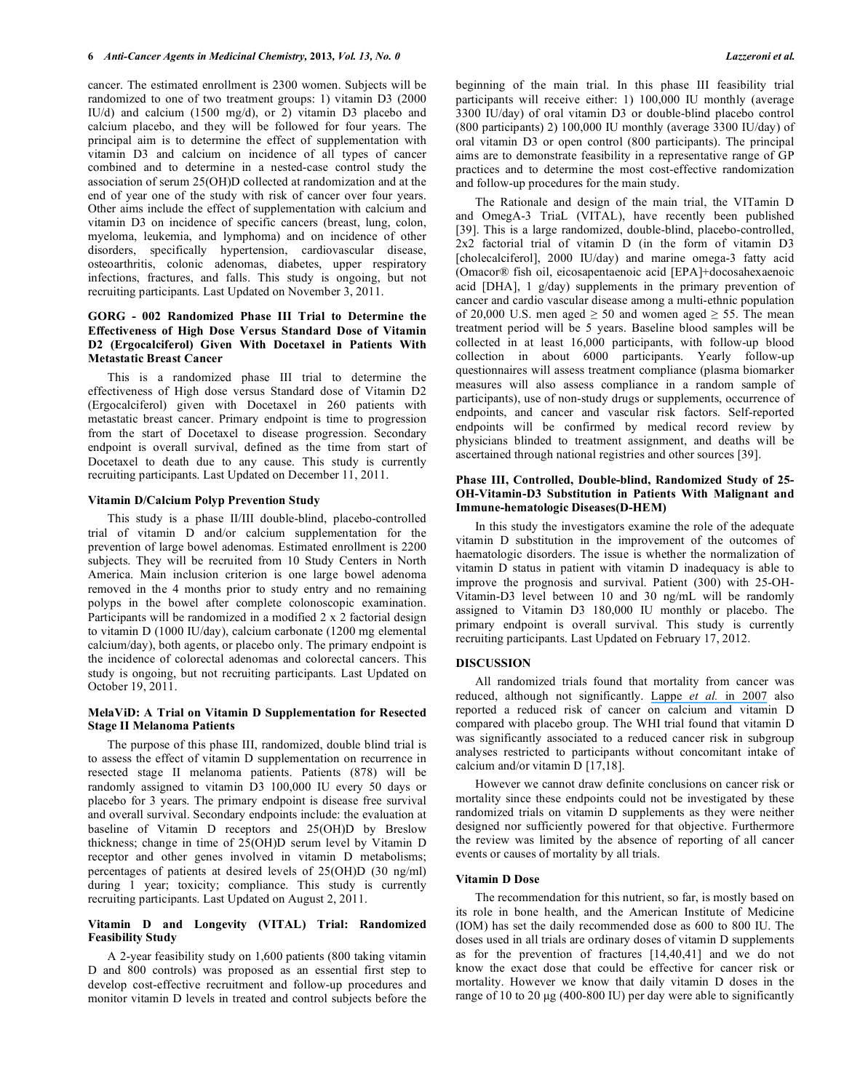cancer. The estimated enrollment is 2300 women. Subjects will be randomized to one of two treatment groups: 1) vitamin D3 (2000 IU/d) and calcium (1500 mg/d), or 2) vitamin D3 placebo and calcium placebo, and they will be followed for four years. The principal aim is to determine the effect of supplementation with vitamin D3 and calcium on incidence of all types of cancer combined and to determine in a nested-case control study the association of serum 25(OH)D collected at randomization and at the end of year one of the study with risk of cancer over four years. Other aims include the effect of supplementation with calcium and vitamin D3 on incidence of specific cancers (breast, lung, colon, myeloma, leukemia, and lymphoma) and on incidence of other disorders, specifically hypertension, cardiovascular disease, osteoarthritis, colonic adenomas, diabetes, upper respiratory infections, fractures, and falls. This study is ongoing, but not recruiting participants. Last Updated on November 3, 2011.

# **GORG - 002 Randomized Phase III Trial to Determine the Effectiveness of High Dose Versus Standard Dose of Vitamin D2 (Ergocalciferol) Given With Docetaxel in Patients With Metastatic Breast Cancer**

This is a randomized phase III trial to determine the effectiveness of High dose versus Standard dose of Vitamin D2 (Ergocalciferol) given with Docetaxel in 260 patients with metastatic breast cancer. Primary endpoint is time to progression from the start of Docetaxel to disease progression. Secondary endpoint is overall survival, defined as the time from start of Docetaxel to death due to any cause. This study is currently recruiting participants. Last Updated on December 11, 2011.

#### **Vitamin D/Calcium Polyp Prevention Study**

This study is a phase II/III double-blind, placebo-controlled trial of vitamin D and/or calcium supplementation for the prevention of large bowel adenomas. Estimated enrollment is 2200 subjects. They will be recruited from 10 Study Centers in North America. Main inclusion criterion is one large bowel adenoma removed in the 4 months prior to study entry and no remaining polyps in the bowel after complete colonoscopic examination. Participants will be randomized in a modified 2 x 2 factorial design to vitamin D (1000 IU/day), calcium carbonate (1200 mg elemental calcium/day), both agents, or placebo only. The primary endpoint is the incidence of colorectal adenomas and colorectal cancers. This study is ongoing, but not recruiting participants. Last Updated on October 19, 2011.

## **MelaViD: A Trial on Vitamin D Supplementation for Resected Stage II Melanoma Patients**

The purpose of this phase III, randomized, double blind trial is to assess the effect of vitamin D supplementation on recurrence in resected stage II melanoma patients. Patients (878) will be randomly assigned to vitamin D3 100,000 IU every 50 days or placebo for 3 years. The primary endpoint is disease free survival and overall survival. Secondary endpoints include: the evaluation at baseline of Vitamin D receptors and 25(OH)D by Breslow thickness; change in time of 25(OH)D serum level by Vitamin D receptor and other genes involved in vitamin D metabolisms; percentages of patients at desired levels of 25(OH)D (30 ng/ml) during 1 year; toxicity; compliance. This study is currently recruiting participants. Last Updated on August 2, 2011.

## **Vitamin D and Longevity (VITAL) Trial: Randomized Feasibility Study**

A 2-year feasibility study on 1,600 patients (800 taking vitamin D and 800 controls) was proposed as an essential first step to develop cost-effective recruitment and follow-up procedures and monitor vitamin D levels in treated and control subjects before the beginning of the main trial. In this phase III feasibility trial participants will receive either: 1) 100,000 IU monthly (average 3300 IU/day) of oral vitamin D3 or double-blind placebo control (800 participants) 2) 100,000 IU monthly (average 3300 IU/day) of oral vitamin D3 or open control (800 participants). The principal aims are to demonstrate feasibility in a representative range of GP practices and to determine the most cost-effective randomization and follow-up procedures for the main study.

The Rationale and design of the main trial, the VITamin D and OmegA-3 TriaL (VITAL), have recently been published [39]. This is a large randomized, double-blind, placebo-controlled, 2x2 factorial trial of vitamin D (in the form of vitamin D3 [cholecalciferol], 2000 IU/day) and marine omega-3 fatty acid (Omacor® fish oil, eicosapentaenoic acid [EPA]+docosahexaenoic acid [DHA], 1 g/day) supplements in the primary prevention of cancer and cardio vascular disease among a multi-ethnic population of 20,000 U.S. men aged  $\geq$  50 and women aged  $\geq$  55. The mean treatment period will be 5 years. Baseline blood samples will be collected in at least 16,000 participants, with follow-up blood collection in about 6000 participants. Yearly follow-up questionnaires will assess treatment compliance (plasma biomarker measures will also assess compliance in a random sample of participants), use of non-study drugs or supplements, occurrence of endpoints, and cancer and vascular risk factors. Self-reported endpoints will be confirmed by medical record review by physicians blinded to treatment assignment, and deaths will be ascertained through national registries and other sources [39].

## **Phase III, Controlled, Double-blind, Randomized Study of 25- OH-Vitamin-D3 Substitution in Patients With Malignant and Immune-hematologic Diseases(D-HEM)**

In this study the investigators examine the role of the adequate vitamin D substitution in the improvement of the outcomes of haematologic disorders. The issue is whether the normalization of vitamin D status in patient with vitamin D inadequacy is able to improve the prognosis and survival. Patient (300) with 25-OH-Vitamin-D3 level between 10 and 30 ng/mL will be randomly assigned to Vitamin D3 180,000 IU monthly or placebo. The primary endpoint is overall survival. This study is currently recruiting participants. Last Updated on February 17, 2012.

# **DISCUSSION**

All randomized trials found that mortality from cancer was reduced, although not significantly. [Lappe](https://www.researchgate.net/publication/299316951_Vitamin_D_and_calcium_supplementation_reduces_cancer_risk_results_of_a_randomized_trial_vol_85_pg_1586_2007?el=1_x_8&enrichId=rgreq-ceabeb0a434340b9e7c83c8a5bcf5516-XXX&enrichSource=Y292ZXJQYWdlOzIzMjY5ODM3MztBUzo5OTMwODU0NDIwMDcxNUAxNDAwNjg4NDEwMzQy) *et al.* in 2007 also reported a reduced risk of cancer on calcium and vitamin D compared with placebo group. The WHI trial found that vitamin D was significantly associated to a reduced cancer risk in subgroup analyses restricted to participants without concomitant intake of calcium and/or vitamin D [17,18].

However we cannot draw definite conclusions on cancer risk or mortality since these endpoints could not be investigated by these randomized trials on vitamin D supplements as they were neither designed nor sufficiently powered for that objective. Furthermore the review was limited by the absence of reporting of all cancer events or causes of mortality by all trials.

## **Vitamin D Dose**

The recommendation for this nutrient, so far, is mostly based on its role in bone health, and the American Institute of Medicine (IOM) has set the daily recommended dose as 600 to 800 IU. The doses used in all trials are ordinary doses of vitamin D supplements as for the prevention of fractures [14,40,41] and we do not know the exact dose that could be effective for cancer risk or mortality. However we know that daily vitamin D doses in the range of 10 to 20 µg (400-800 IU) per day were able to significantly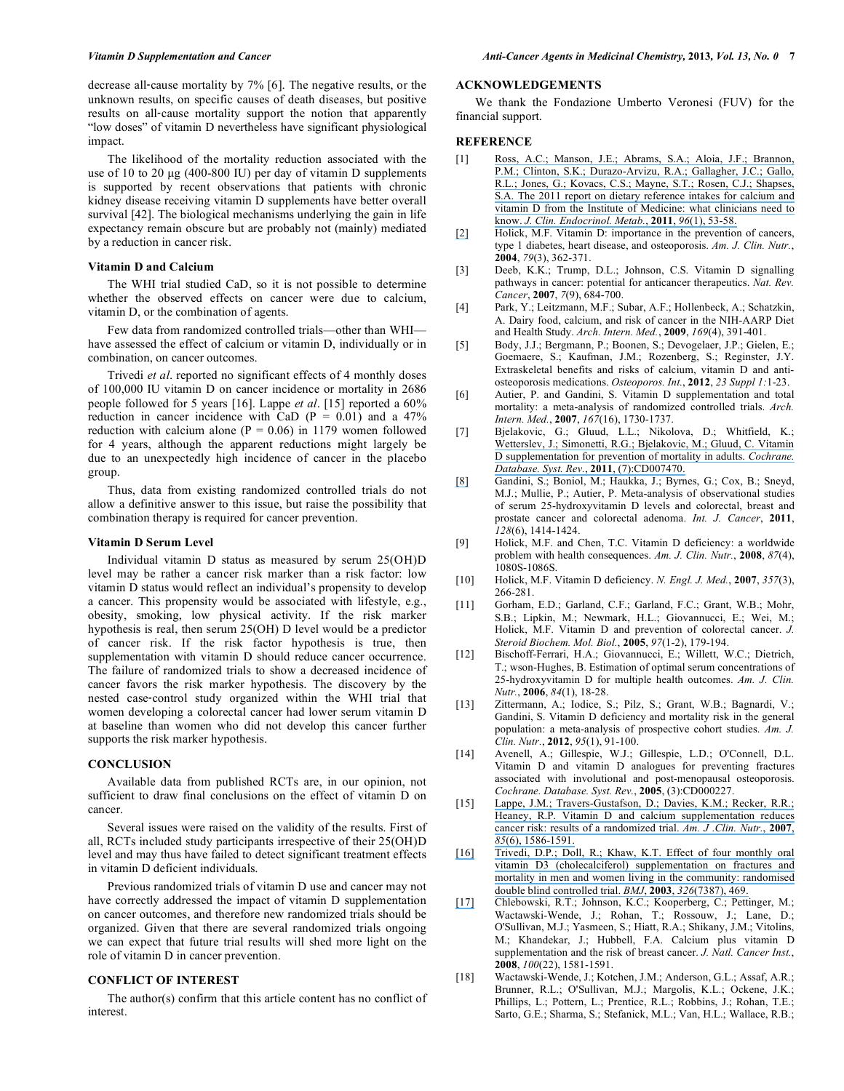decrease all-cause mortality by 7% [6]. The negative results, or the unknown results, on specific causes of death diseases, but positive results on all‐cause mortality support the notion that apparently "low doses" of vitamin D nevertheless have significant physiological impact.

The likelihood of the mortality reduction associated with the use of 10 to 20 µg (400-800 IU) per day of vitamin D supplements is supported by recent observations that patients with chronic kidney disease receiving vitamin D supplements have better overall survival [42]. The biological mechanisms underlying the gain in life expectancy remain obscure but are probably not (mainly) mediated by a reduction in cancer risk.

#### **Vitamin D and Calcium**

The WHI trial studied CaD, so it is not possible to determine whether the observed effects on cancer were due to calcium, vitamin D, or the combination of agents.

Few data from randomized controlled trials—other than WHI have assessed the effect of calcium or vitamin D, individually or in combination, on cancer outcomes.

Trivedi *et al*. reported no significant effects of 4 monthly doses of 100,000 IU vitamin D on cancer incidence or mortality in 2686 people followed for 5 years [16]. Lappe *et al*. [15] reported a 60% reduction in cancer incidence with CaD ( $P = 0.01$ ) and a 47% reduction with calcium alone ( $P = 0.06$ ) in 1179 women followed for 4 years, although the apparent reductions might largely be due to an unexpectedly high incidence of cancer in the placebo group.

Thus, data from existing randomized controlled trials do not allow a definitive answer to this issue, but raise the possibility that combination therapy is required for cancer prevention.

#### **Vitamin D Serum Level**

Individual vitamin D status as measured by serum 25(OH)D level may be rather a cancer risk marker than a risk factor: low vitamin D status would reflect an individual's propensity to develop a cancer. This propensity would be associated with lifestyle, e.g., obesity, smoking, low physical activity. If the risk marker hypothesis is real, then serum 25(OH) D level would be a predictor of cancer risk. If the risk factor hypothesis is true, then supplementation with vitamin D should reduce cancer occurrence. The failure of randomized trials to show a decreased incidence of cancer favors the risk marker hypothesis. The discovery by the nested case‐control study organized within the WHI trial that women developing a colorectal cancer had lower serum vitamin D at baseline than women who did not develop this cancer further supports the risk marker hypothesis.

# **CONCLUSION**

Available data from published RCTs are, in our opinion, not sufficient to draw final conclusions on the effect of vitamin D on cancer.

Several issues were raised on the validity of the results. First of all, RCTs included study participants irrespective of their 25(OH)D level and may thus have failed to detect significant treatment effects in vitamin D deficient individuals.

Previous randomized trials of vitamin D use and cancer may not have correctly addressed the impact of vitamin D supplementation on cancer outcomes, and therefore new randomized trials should be organized. Given that there are several randomized trials ongoing we can expect that future trial results will shed more light on the role of vitamin D in cancer prevention.

## **CONFLICT OF INTEREST**

The author(s) confirm that this article content has no conflict of interest.

# **ACKNOWLEDGEMENTS**

We thank the Fondazione Umberto Veronesi (FUV) for the financial support.

#### **REFERENCE**

- [1] Ross, A.C.; Manson, J.E.; Abrams, S.A.; Aloia, J.F.; [Brannon,](https://www.researchgate.net/publication/49646281_The_2011_Report_on_Dietary_Reference_Intakes_for_Calcium_and_Vitamin_D_From_the_Institute_of_Medicine_What_Clinicians_Need_to_Know?el=1_x_8&enrichId=rgreq-ceabeb0a434340b9e7c83c8a5bcf5516-XXX&enrichSource=Y292ZXJQYWdlOzIzMjY5ODM3MztBUzo5OTMwODU0NDIwMDcxNUAxNDAwNjg4NDEwMzQy) P.M.; Clinton, S.K.; [Durazo-Arvizu,](https://www.researchgate.net/publication/49646281_The_2011_Report_on_Dietary_Reference_Intakes_for_Calcium_and_Vitamin_D_From_the_Institute_of_Medicine_What_Clinicians_Need_to_Know?el=1_x_8&enrichId=rgreq-ceabeb0a434340b9e7c83c8a5bcf5516-XXX&enrichSource=Y292ZXJQYWdlOzIzMjY5ODM3MztBUzo5OTMwODU0NDIwMDcxNUAxNDAwNjg4NDEwMzQy) R.A.; Gallagher, J.C.; Gallo, R.L.; Jones, G.; Kovacs, C.S.; Mayne, S.T.; Rosen, C.J.; [Shapses,](https://www.researchgate.net/publication/49646281_The_2011_Report_on_Dietary_Reference_Intakes_for_Calcium_and_Vitamin_D_From_the_Institute_of_Medicine_What_Clinicians_Need_to_Know?el=1_x_8&enrichId=rgreq-ceabeb0a434340b9e7c83c8a5bcf5516-XXX&enrichSource=Y292ZXJQYWdlOzIzMjY5ODM3MztBUzo5OTMwODU0NDIwMDcxNUAxNDAwNjg4NDEwMzQy) S.A. The 2011 report on dietary reference intakes [for calcium](https://www.researchgate.net/publication/49646281_The_2011_Report_on_Dietary_Reference_Intakes_for_Calcium_and_Vitamin_D_From_the_Institute_of_Medicine_What_Clinicians_Need_to_Know?el=1_x_8&enrichId=rgreq-ceabeb0a434340b9e7c83c8a5bcf5516-XXX&enrichSource=Y292ZXJQYWdlOzIzMjY5ODM3MztBUzo5OTMwODU0NDIwMDcxNUAxNDAwNjg4NDEwMzQy) and vitamin D from the Institute [of Medicine:](https://www.researchgate.net/publication/49646281_The_2011_Report_on_Dietary_Reference_Intakes_for_Calcium_and_Vitamin_D_From_the_Institute_of_Medicine_What_Clinicians_Need_to_Know?el=1_x_8&enrichId=rgreq-ceabeb0a434340b9e7c83c8a5bcf5516-XXX&enrichSource=Y292ZXJQYWdlOzIzMjY5ODM3MztBUzo5OTMwODU0NDIwMDcxNUAxNDAwNjg4NDEwMzQy) what clinicians need to know. *J. Clin. [Endocrinol.](https://www.researchgate.net/publication/49646281_The_2011_Report_on_Dietary_Reference_Intakes_for_Calcium_and_Vitamin_D_From_the_Institute_of_Medicine_What_Clinicians_Need_to_Know?el=1_x_8&enrichId=rgreq-ceabeb0a434340b9e7c83c8a5bcf5516-XXX&enrichSource=Y292ZXJQYWdlOzIzMjY5ODM3MztBUzo5OTMwODU0NDIwMDcxNUAxNDAwNjg4NDEwMzQy) Metab.*, **2011**, *96*(1), 53-58.
- [\[2\]](https://www.researchgate.net/publication/49646281_The_2011_Report_on_Dietary_Reference_Intakes_for_Calcium_and_Vitamin_D_From_the_Institute_of_Medicine_What_Clinicians_Need_to_Know?el=1_x_8&enrichId=rgreq-ceabeb0a434340b9e7c83c8a5bcf5516-XXX&enrichSource=Y292ZXJQYWdlOzIzMjY5ODM3MztBUzo5OTMwODU0NDIwMDcxNUAxNDAwNjg4NDEwMzQy) Holick, M.F. Vitamin D: importance in the prevention of cancers, type 1 diabetes, heart disease, and osteoporosis. *Am. J. Clin. Nutr.*, **2004**, *79*(3), 362-371.
- [3] Deeb, K.K.; Trump, D.L.; Johnson, C.S. Vitamin D signalling pathways in cancer: potential for anticancer therapeutics. *Nat. Rev. Cancer*, **2007**, *7*(9), 684-700.
- [4] Park, Y.; Leitzmann, M.F.; Subar, A.F.; Hollenbeck, A.; Schatzkin, A. Dairy food, calcium, and risk of cancer in the NIH-AARP Diet and Health Study. *Arch. Intern. Med.*, **2009**, *169*(4), 391-401.
- [5] Body, J.J.; Bergmann, P.; Boonen, S.; Devogelaer, J.P.; Gielen, E.; Goemaere, S.; Kaufman, J.M.; Rozenberg, S.; Reginster, J.Y. Extraskeletal benefits and risks of calcium, vitamin D and antiosteoporosis medications. *Osteoporos. Int.*, **2012**, *23 Suppl 1:*1-23.
- [6] Autier, P. and Gandini, S. Vitamin D supplementation and total mortality: a meta-analysis of randomized controlled trials. *Arch. Intern. Med.*, **2007**, *167*(16), 1730-1737.
- [7] Bjelakovic, G.; Gluud, L.L.; Nikolova, D.; Whitfield, K.; Wetterslev, J.; Simonetti, R.G.; [Bjelakovic,](https://www.researchgate.net/publication/51473294_Vitamin_D_supplementation_for_prevention_of_mortality?el=1_x_8&enrichId=rgreq-ceabeb0a434340b9e7c83c8a5bcf5516-XXX&enrichSource=Y292ZXJQYWdlOzIzMjY5ODM3MztBUzo5OTMwODU0NDIwMDcxNUAxNDAwNjg4NDEwMzQy) M.; Gluud, C. Vitamin D [supplementation](https://www.researchgate.net/publication/51473294_Vitamin_D_supplementation_for_prevention_of_mortality?el=1_x_8&enrichId=rgreq-ceabeb0a434340b9e7c83c8a5bcf5516-XXX&enrichSource=Y292ZXJQYWdlOzIzMjY5ODM3MztBUzo5OTMwODU0NDIwMDcxNUAxNDAwNjg4NDEwMzQy) for prevention of mortality in adults. *Cochrane. Database. Syst. Rev.*, **2011**, [\(7\):CD007470.](https://www.researchgate.net/publication/51473294_Vitamin_D_supplementation_for_prevention_of_mortality?el=1_x_8&enrichId=rgreq-ceabeb0a434340b9e7c83c8a5bcf5516-XXX&enrichSource=Y292ZXJQYWdlOzIzMjY5ODM3MztBUzo5OTMwODU0NDIwMDcxNUAxNDAwNjg4NDEwMzQy)
- [\[8\]](https://www.researchgate.net/publication/51473294_Vitamin_D_supplementation_for_prevention_of_mortality?el=1_x_8&enrichId=rgreq-ceabeb0a434340b9e7c83c8a5bcf5516-XXX&enrichSource=Y292ZXJQYWdlOzIzMjY5ODM3MztBUzo5OTMwODU0NDIwMDcxNUAxNDAwNjg4NDEwMzQy) Gandini, S.; Boniol, M.; Haukka, J.; Byrnes, G.; Cox, B.; Sneyd, M.J.; Mullie, P.; Autier, P. Meta-analysis of observational studies of serum 25-hydroxyvitamin D levels and colorectal, breast and prostate cancer and colorectal adenoma. *Int. J. Cancer*, **2011**, *128*(6), 1414-1424.
- [9] Holick, M.F. and Chen, T.C. Vitamin D deficiency: a worldwide problem with health consequences. *Am. J. Clin. Nutr.*, **2008**, *87*(4), 1080S-1086S.
- [10] Holick, M.F. Vitamin D deficiency. *N. Engl. J. Med.*, **2007**, *357*(3), 266-281.
- [11] Gorham, E.D.; Garland, C.F.; Garland, F.C.; Grant, W.B.; Mohr, S.B.; Lipkin, M.; Newmark, H.L.; Giovannucci, E.; Wei, M.; Holick, M.F. Vitamin D and prevention of colorectal cancer. *J. Steroid Biochem. Mol. Biol.*, **2005**, *97*(1-2), 179-194.
- [12] Bischoff-Ferrari, H.A.; Giovannucci, E.; Willett, W.C.; Dietrich, T.; wson-Hughes, B. Estimation of optimal serum concentrations of 25-hydroxyvitamin D for multiple health outcomes. *Am. J. Clin. Nutr.*, **2006**, *84*(1), 18-28.
- [13] Zittermann, A.; Iodice, S.; Pilz, S.; Grant, W.B.; Bagnardi, V.; Gandini, S. Vitamin D deficiency and mortality risk in the general population: a meta-analysis of prospective cohort studies. *Am. J. Clin. Nutr.*, **2012**, *95*(1), 91-100.
- [14] Avenell, A.; Gillespie, W.J.; Gillespie, L.D.; O'Connell, D.L. Vitamin D and vitamin D analogues for preventing fractures associated with involutional and post-menopausal osteoporosis. *Cochrane. Database. Syst. Rev.*, **2005**, (3):CD000227.
- [15] Lappe, J.M.; [Travers-Gustafson,](https://www.researchgate.net/publication/299316951_Vitamin_D_and_calcium_supplementation_reduces_cancer_risk_results_of_a_randomized_trial_vol_85_pg_1586_2007?el=1_x_8&enrichId=rgreq-ceabeb0a434340b9e7c83c8a5bcf5516-XXX&enrichSource=Y292ZXJQYWdlOzIzMjY5ODM3MztBUzo5OTMwODU0NDIwMDcxNUAxNDAwNjg4NDEwMzQy) D.; Davies, K.M.; Recker, R.R.; Heaney, R.P. Vitamin D and calcium [supplementation](https://www.researchgate.net/publication/299316951_Vitamin_D_and_calcium_supplementation_reduces_cancer_risk_results_of_a_randomized_trial_vol_85_pg_1586_2007?el=1_x_8&enrichId=rgreq-ceabeb0a434340b9e7c83c8a5bcf5516-XXX&enrichSource=Y292ZXJQYWdlOzIzMjY5ODM3MztBUzo5OTMwODU0NDIwMDcxNUAxNDAwNjg4NDEwMzQy) reduces cancer risk: results of a [randomized](https://www.researchgate.net/publication/299316951_Vitamin_D_and_calcium_supplementation_reduces_cancer_risk_results_of_a_randomized_trial_vol_85_pg_1586_2007?el=1_x_8&enrichId=rgreq-ceabeb0a434340b9e7c83c8a5bcf5516-XXX&enrichSource=Y292ZXJQYWdlOzIzMjY5ODM3MztBUzo5OTMwODU0NDIwMDcxNUAxNDAwNjg4NDEwMzQy) trial. *Am. J .Clin. Nutr.*, **2007**, *85*(6), [1586-1591.](https://www.researchgate.net/publication/299316951_Vitamin_D_and_calcium_supplementation_reduces_cancer_risk_results_of_a_randomized_trial_vol_85_pg_1586_2007?el=1_x_8&enrichId=rgreq-ceabeb0a434340b9e7c83c8a5bcf5516-XXX&enrichSource=Y292ZXJQYWdlOzIzMjY5ODM3MztBUzo5OTMwODU0NDIwMDcxNUAxNDAwNjg4NDEwMzQy)
- [\[16\]](https://www.researchgate.net/publication/299316951_Vitamin_D_and_calcium_supplementation_reduces_cancer_risk_results_of_a_randomized_trial_vol_85_pg_1586_2007?el=1_x_8&enrichId=rgreq-ceabeb0a434340b9e7c83c8a5bcf5516-XXX&enrichSource=Y292ZXJQYWdlOzIzMjY5ODM3MztBUzo5OTMwODU0NDIwMDcxNUAxNDAwNjg4NDEwMzQy) Trivedi, D.P.; Doll, R.; Khaw, K.T. Effect [of four monthly](https://www.researchgate.net/publication/10879875_Effect_of_four_monthly_oral_vitamin_D3_cholecalciferol_supplementation_on_fractures_and_mortality_in_men_and_women_living_in_the_community_Randomized_double_blind_controlled_trial?el=1_x_8&enrichId=rgreq-ceabeb0a434340b9e7c83c8a5bcf5516-XXX&enrichSource=Y292ZXJQYWdlOzIzMjY5ODM3MztBUzo5OTMwODU0NDIwMDcxNUAxNDAwNjg4NDEwMzQy) oral vitamin D3 [\(cholecalciferol\) supplementation](https://www.researchgate.net/publication/10879875_Effect_of_four_monthly_oral_vitamin_D3_cholecalciferol_supplementation_on_fractures_and_mortality_in_men_and_women_living_in_the_community_Randomized_double_blind_controlled_trial?el=1_x_8&enrichId=rgreq-ceabeb0a434340b9e7c83c8a5bcf5516-XXX&enrichSource=Y292ZXJQYWdlOzIzMjY5ODM3MztBUzo5OTMwODU0NDIwMDcxNUAxNDAwNjg4NDEwMzQy) on fractures and mortality in men and women living in the [community:](https://www.researchgate.net/publication/10879875_Effect_of_four_monthly_oral_vitamin_D3_cholecalciferol_supplementation_on_fractures_and_mortality_in_men_and_women_living_in_the_community_Randomized_double_blind_controlled_trial?el=1_x_8&enrichId=rgreq-ceabeb0a434340b9e7c83c8a5bcf5516-XXX&enrichSource=Y292ZXJQYWdlOzIzMjY5ODM3MztBUzo5OTMwODU0NDIwMDcxNUAxNDAwNjg4NDEwMzQy) randomised double blind [controlled](https://www.researchgate.net/publication/10879875_Effect_of_four_monthly_oral_vitamin_D3_cholecalciferol_supplementation_on_fractures_and_mortality_in_men_and_women_living_in_the_community_Randomized_double_blind_controlled_trial?el=1_x_8&enrichId=rgreq-ceabeb0a434340b9e7c83c8a5bcf5516-XXX&enrichSource=Y292ZXJQYWdlOzIzMjY5ODM3MztBUzo5OTMwODU0NDIwMDcxNUAxNDAwNjg4NDEwMzQy) trial. *BMJ*, **2003**, *326*(7387), 469.
- [\[17\]](https://www.researchgate.net/publication/10879875_Effect_of_four_monthly_oral_vitamin_D3_cholecalciferol_supplementation_on_fractures_and_mortality_in_men_and_women_living_in_the_community_Randomized_double_blind_controlled_trial?el=1_x_8&enrichId=rgreq-ceabeb0a434340b9e7c83c8a5bcf5516-XXX&enrichSource=Y292ZXJQYWdlOzIzMjY5ODM3MztBUzo5OTMwODU0NDIwMDcxNUAxNDAwNjg4NDEwMzQy) Chlebowski, R.T.; Johnson, K.C.; Kooperberg, C.; Pettinger, M.; Wactawski-Wende, J.; Rohan, T.; Rossouw, J.; Lane, D.; O'Sullivan, M.J.; Yasmeen, S.; Hiatt, R.A.; Shikany, J.M.; Vitolins, M.; Khandekar, J.; Hubbell, F.A. Calcium plus vitamin D supplementation and the risk of breast cancer. *J. Natl. Cancer Inst.*, **2008**, *100*(22), 1581-1591.
- [18] Wactawski-Wende, J.; Kotchen, J.M.; Anderson, G.L.; Assaf, A.R.; Brunner, R.L.; O'Sullivan, M.J.; Margolis, K.L.; Ockene, J.K.; Phillips, L.; Pottern, L.; Prentice, R.L.; Robbins, J.; Rohan, T.E.; Sarto, G.E.; Sharma, S.; Stefanick, M.L.; Van, H.L.; Wallace, R.B.;